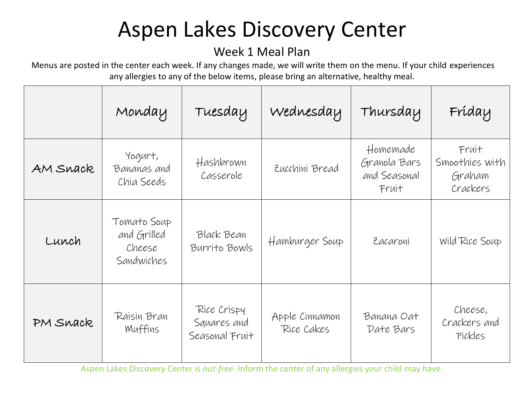#### Week 1 Meal Plan

Menus are posted in the center each week. If any changes made, we will write them on the menu. If your child experiences any allergies to any of the below items, please bring an alternative, healthy meal.

|          | Monday                                             | Tuesday                                      | Wednesday                    | Thursday                                          | Fríday                                        |
|----------|----------------------------------------------------|----------------------------------------------|------------------------------|---------------------------------------------------|-----------------------------------------------|
| AM Snack | Yogurt,<br>Bananas and<br>Chia Seeds               | Hashbrown<br>Casserole                       | Zucchini Bread               | Homemade<br>Granola Bars<br>and Seasonal<br>Fruit | Fruit<br>Smoothies with<br>Graham<br>Crackers |
| Lunch    | Tomato Soup<br>and Grilled<br>Cheese<br>Sandwiches | Black Bean<br>Burrito Bowls                  | Hamburger Soup               | Zacaroni                                          | Wild Rice Soup                                |
| PM Snack | Raisin Bran<br>Muffins                             | Rice Crispy<br>Squares and<br>Seasonal Fruit | Apple Cinnamon<br>Rice Cakes | Banana Oat<br>Date Bars                           | Cheese,<br>Crackers and<br>Pickles            |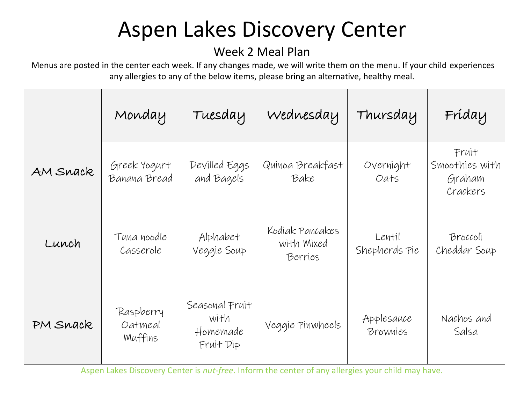#### Week 2 Meal Plan

Menus are posted in the center each week. If any changes made, we will write them on the menu. If your child experiences any allergies to any of the below items, please bring an alternative, healthy meal.

|          | Monday                          | Tuesday                                         | Wednesday                                | Thursday                | Fríday                                        |
|----------|---------------------------------|-------------------------------------------------|------------------------------------------|-------------------------|-----------------------------------------------|
| AM Snack | Greek Yogurt<br>Banana Bread    | Devilled Eggs<br>and Bagels                     | Quinoa Breakfast<br>Bake                 | Overnight<br>Oats       | Fruit<br>Smoothies with<br>Graham<br>Crackers |
| Lunch    | Tuna noodle<br>Casserole        | Alphabet<br>Veggie Soup                         | Kodiak Pancakes<br>with Mixed<br>Berries | Lentil<br>Shepherds Pie | Broccoli<br>Cheddar Soup                      |
| PM Snack | Raspberry<br>Oatmeal<br>Muffins | Seasonal Fruit<br>with<br>Homemade<br>Fruit Dip | Veggie Pinwheels                         | Applesauce<br>Brownies  | Nachos and<br>Salsa                           |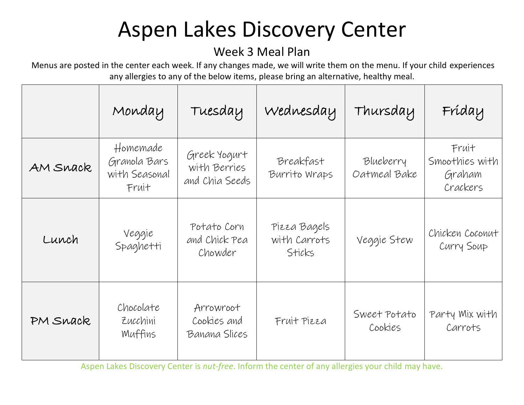#### Week 3 Meal Plan

Menus are posted in the center each week. If any changes made, we will write them on the menu. If your child experiences any allergies to any of the below items, please bring an alternative, healthy meal.

|          | Monday                                             | Tuesday                                        | Wednesday                              | Thursday                  | Fríday                                        |
|----------|----------------------------------------------------|------------------------------------------------|----------------------------------------|---------------------------|-----------------------------------------------|
| AM Snack | Homemade<br>Granola Bars<br>with Seasonal<br>Fruit | Greek Yogurt<br>with Berries<br>and Chia Seeds | Breakfast<br>Burrito Wraps             | Blueberry<br>Oatmeal Bake | Fruit<br>Smoothies with<br>Graham<br>Crackers |
| Lunch    | Veggie<br>Spaghetti                                | Potato Corn<br>and Chick Pea<br>Chowder        | Pieza Bagels<br>with Carrots<br>Sticks | Veggie Stew               | Chicken Coconut<br>Curry Soup                 |
| PM Snack | Chocolate<br>Zucchini<br>Muffins                   | Arrowroot<br>Cookies and<br>Banana Slices      | Fruit Pizza                            | Sweet Potato<br>Cookies   | Party Mix with<br>Carrots                     |